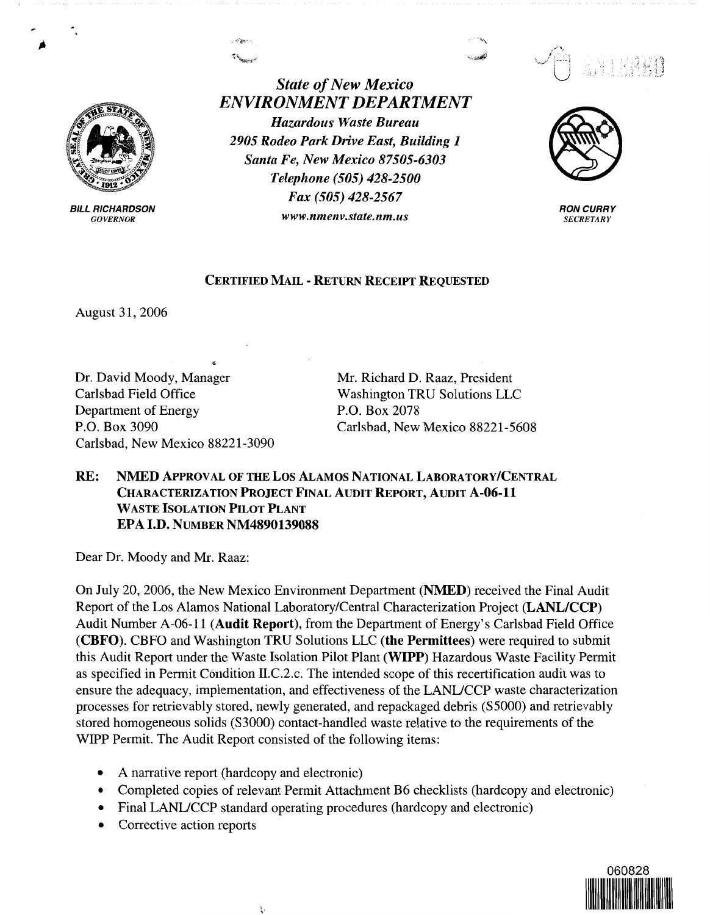

BILL RICHARDSON

*State of New Mexico ENVIRONMENT DEPARTMENT Hazardous Waste Bureau 2905 Rodeo Park Drive East, Building 1 Santa Fe, New Mexico 87505-6303 Telephone (505) 428-2500 Fax (505) 428-2567 GOVERNOR www.nmenv.state.nm.us* 





**RON CURRY**  *SECRETARY* 

## **CERTIFIED MAIL** - **RETURN RECEIPT REQUESTED**

August 31, 2006

Dr. David Moody, Manager Carlsbad Field Office Department of Energy P.O. Box 3090 Carlsbad, New Mexico 88221-3090

Mr. Richard D. Raaz, President Washington TRU Solutions LLC P.O. Box 2078 Carlsbad, New Mexico 88221-5608

## **RE: NMED APPROVAL OF THE Los ALAMOS NATIONAL LABORATORY/CENTRAL CHARACTERIZATION PROJECT FINAL AUDIT REPORT, AUDIT A-06-11 WASTE ISOLATION PILOT PLANT EPA I.D. NUMBER NM4890139088**

Dear Dr. Moody and Mr. Raaz:

On July 20, 2006, the New Mexico Environment Department **(NMED)** received the Final Audit Report of the Los Alamos National Laboratory/Central Characterization Project **(LANL/CCP)**  Audit Number A-06-11 **(Audit Report),** from the Department of Energy's Carlsbad Field Office **(CBFO).** CBFO and Washington TRU Solutions LLC **(the Permittees)** were required to submit this Audit Report under the Waste Isolation Pilot Plant **(WIPP)** Hazardous Waste Facility Permit as specified in Permit Condition 11.C.2.c. The intended scope of this recertification audit was to ensure the adequacy, implementation, and effectiveness of the LANL/CCP waste characterization processes for retrievably stored, newly generated, and repackaged debris (S5000) and retrievably stored homogeneous solids (S3000) contact-handled waste relative to the requirements of the WIPP Permit. The Audit Report consisted of the following items:

- A narrative report (hardcopy and electronic)
- Completed copies of relevant Permit Attachment B6 checklists (hardcopy and electronic)
- Final LANL/CCP standard operating procedures (hardcopy and electronic)
- Corrective action reports

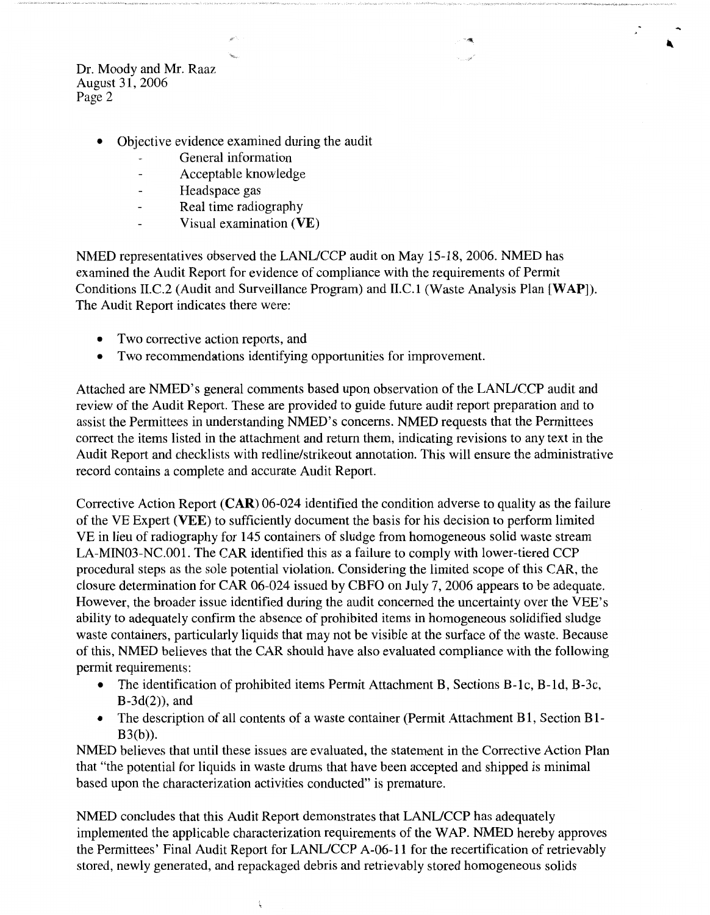Dr. Moody and Mr. Raaz August 31, 2006 Page 2

- Objective evidence examined during the audit
	- General information
	- Acceptable knowledge
	- Headspace gas
	- Real time radiography
	- Visual examination **(VE)**

NMED representatives observed the LANL/CCP audit on May 15-18, 2006. NMED has examined the Audit Report for evidence of compliance with the requirements of Permit Conditions II.C.2 (Audit and Surveillance Program) and II.C.1 (Waste Analysis Plan **[W AP]).**  The Audit Report indicates there were:

'

- Two corrective action reports, and
- Two recommendations identifying opportunities for improvement.

Attached are NMED' s general comments based upon observation of the LANL/CCP audit and review of the Audit Report. These are provided to guide future audit report preparation and to assist the Permittees in understanding NMED's concerns. NMED requests that the Permittees correct the items listed in the attachment and return them, indicating revisions to any text in the Audit Report and checklists with redline/strikeout annotation. This will ensure the administrative record contains a complete and accurate Audit Report.

Corrective Action Report **(CAR)** 06-024 identified the condition adverse to quality as the failure of the VE Expert **(VEE)** to sufficiently document the basis for his decision to perform limited VE in lieu of radiography for 145 containers of sludge from homogeneous solid waste stream LA-MIN03-NC.001. The CAR identified this as a failure to comply with lower-tiered CCP procedural steps as the sole potential violation. Considering the limited scope of this CAR, the closure determination for CAR 06-024 issued by CBFO on July 7, 2006 appears to be adequate. However, the broader issue identified during the audit concerned the uncertainty over the VEE's ability to adequately confirm the absence of prohibited items in homogeneous solidified sludge waste containers, particularly liquids that may not be visible at the surface of the waste. Because of this, NMED believes that the CAR should have also evaluated compliance with the following permit requirements:

- The identification of prohibited items Permit Attachment B, Sections B-1c, B-1d, B-3c, B-3d(2)), and
- The description of all contents of a waste container (Permit Attachment B1, Section B1- $B3(b)$ ).

NMED believes that until these issues are evaluated, the statement in the Corrective Action Plan that "the potential for liquids in waste drums that have been accepted and shipped is minimal based upon the characterization activities conducted" is premature.

NMED concludes that this Audit Report demonstrates that LANL/CCP has adequately implemented the applicable characterization requirements of the WAP. NMED hereby approves the Permittees' Final Audit Report for LANL/CCP A-06-11 for the recertification of retrievably stored, newly generated, and repackaged debris and retrievably stored homogeneous solids

 $\ddot{\xi}$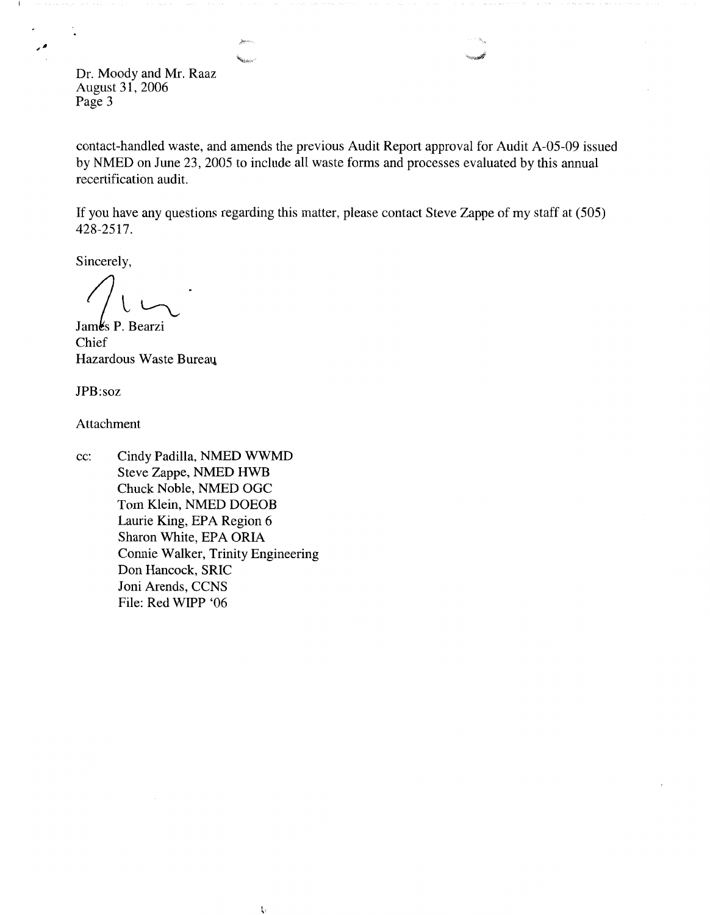Dr. Moody and Mr. Raaz August 31, 2006 Page 3

contact-handled waste, and amends the previous Audit Report approval for Audit A-05-09 issued by **NMED** on June 23, 2005 to include all waste forms and processes evaluated by this annual recertification audit.

If you have any questions regarding this matter, please contact Steve Zappe of my staff at (505) 428-2517.

Sincerely,

James P. Bearzi Chief Hazardous Waste Bureaq

JPB:soz

Attachment

cc: Cindy Padilla, NMED WWMD Steve Zappe, NMED HWB Chuck Noble, NMED OGC Tom Klein, NMED DOEOB Laurie King, EPA Region 6 Sharon White, EPA ORIA Connie Walker, Trinity Engineering Don Hancock, SRIC Joni Arends, CCNS File: Red WIPP '06

į,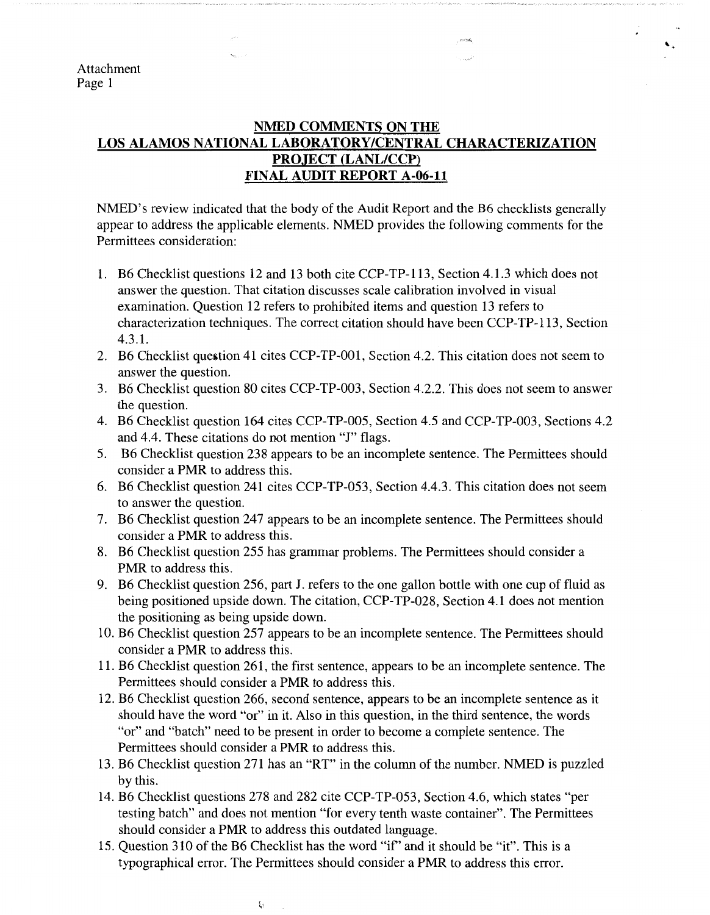Attachment Page 1

## **NMED COMMENTS ON THE LOS ALAMOS NATIONAL LABORATORY/CENTRAL CHARACTERIZATION PROJECT (LANL/CCP) FINAL AUDIT REPORT A-06-11**

NMED's review indicated that the body of the Audit Report and the B6 checklists generally appear to address the applicable elements. NMED provides the following comments for the Permittees consideration:

- 1. B6 Checklist questions 12 and 13 both cite CCP-TP-113, Section 4.1.3 which does not answer the question. That citation discusses scale calibration involved in visual examination. Question 12 refers to prohibited items and question 13 refers to characterization techniques. The correct citation should have been CCP-TP-113, Section 4.3.1.
- 2. B6 Checklist question 41 cites CCP-TP-001, Section 4.2. This citation does not seem to answer the question.
- 3. B6 Checklist question 80 cites CCP-TP-003, Section 4.2.2. This does not seem to answer the question.
- 4. B6 Checklist question 164 cites CCP-TP-005, Section 4.5 and CCP-TP-003, Sections 4.2 and 4.4. These citations do not mention "J" flags.
- 5. B6 Checklist question 238 appears to be an incomplete sentence. The Permittees should consider a **PMR** to address this.
- 6. B6 Checklist question 241 cites CCP-TP-053, Section 4.4.3. This citation does not seem to answer the question.
- 7. B6 Checklist question 247 appears to be an incomplete sentence. The Permittees should consider a **PMR** to address this.
- 8. B6 Checklist question 255 has grammar problems. The Permittees should consider a **PMR** to address this.
- 9. B6 Checklist question 256, part **J.** refers to the one gallon bottle with one cup of fluid as being positioned upside down. The citation, CCP-TP-028, Section 4.1 does not mention the positioning as being upside down.
- 10. B6 Checklist question 257 appears to be an incomplete sentence. The Permittees should consider a PMR to address this.
- 11. B6 Checklist question 261, the first sentence, appears to be an incomplete sentence. The Permittees should consider a PMR to address this.
- 12. B6 Checklist question 266, second sentence, appears to be an incomplete sentence as it should have the word "or" in it. Also in this question, in the third sentence, the words "or" and "batch" need to be present in order to become a complete sentence. The Permittees should consider a PMR to address this.
- 13. B6 Checklist question 271 has an "RT" in the column of the number. NMED is puzzled by this.
- 14. B6 Checklist questions 278 and 282 cite CCP-TP-053, Section 4.6, which states "per testing batch" and does not mention "for every tenth waste container". The Permittees should consider a **PMR** to address this outdated language.
- 15. Question 310 of the B6 Checklist has the word "if' and it should be "it". This is a typographical error. The Permittees should consider a PMR to address this error.

 $\zeta_{\rm f}$